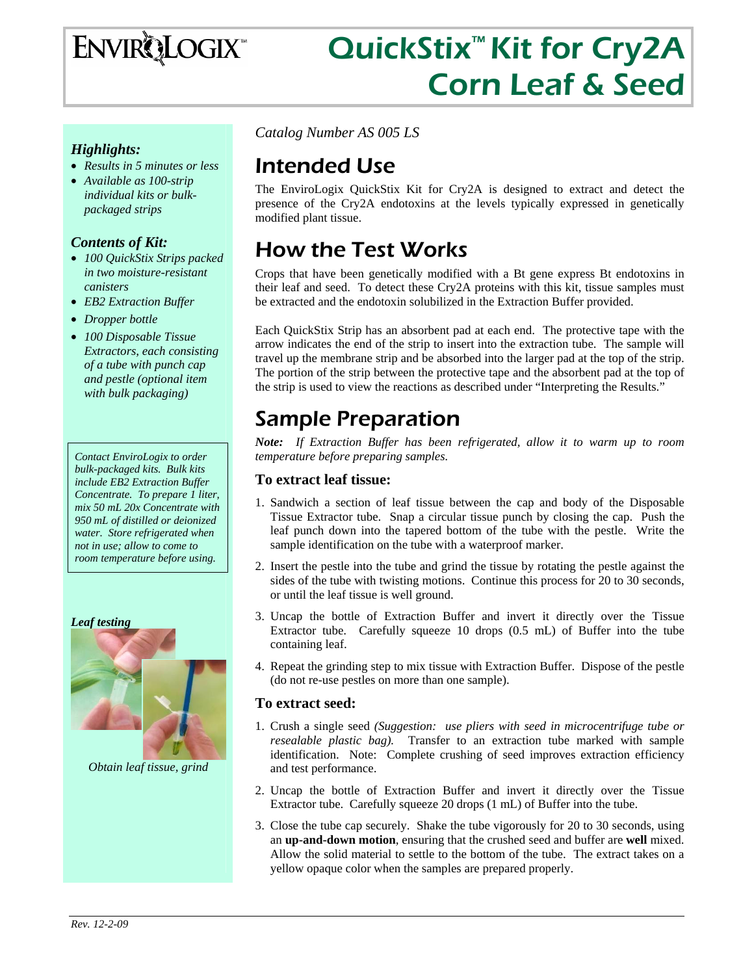# **ENVIRQLOGIX**

# QuickStix<sup>™</sup> Kit for Cry2A Corn Leaf & Seed

#### *Highlights:*

- *Results in 5 minutes or less*
- *Available as 100-strip individual kits or bulkpackaged strips*

#### *Contents of Kit:*

- *100 QuickStix Strips packed in two moisture-resistant canisters*
- *EB2 Extraction Buffer*
- *Dropper bottle*
- *100 Disposable Tissue Extractors, each consisting of a tube with punch cap and pestle (optional item with bulk packaging)*

*Contact EnviroLogix to order bulk-packaged kits. Bulk kits include EB2 Extraction Buffer Concentrate. To prepare 1 liter, mix 50 mL 20x Concentrate with 950 mL of distilled or deionized water. Store refrigerated when not in use; allow to come to room temperature before using.* 



*Obtain leaf tissue, grind* 

*Catalog Number AS 005 LS* 

## Intended Use

The EnviroLogix QuickStix Kit for Cry2A is designed to extract and detect the presence of the Cry2A endotoxins at the levels typically expressed in genetically modified plant tissue.

# How the Test Works

Crops that have been genetically modified with a Bt gene express Bt endotoxins in their leaf and seed. To detect these Cry2A proteins with this kit, tissue samples must be extracted and the endotoxin solubilized in the Extraction Buffer provided.

Each QuickStix Strip has an absorbent pad at each end. The protective tape with the arrow indicates the end of the strip to insert into the extraction tube. The sample will travel up the membrane strip and be absorbed into the larger pad at the top of the strip. The portion of the strip between the protective tape and the absorbent pad at the top of the strip is used to view the reactions as described under "Interpreting the Results."

# Sample Preparation

*Note: If Extraction Buffer has been refrigerated, allow it to warm up to room temperature before preparing samples.* 

#### **To extract leaf tissue:**

- 1. Sandwich a section of leaf tissue between the cap and body of the Disposable Tissue Extractor tube. Snap a circular tissue punch by closing the cap. Push the leaf punch down into the tapered bottom of the tube with the pestle. Write the sample identification on the tube with a waterproof marker.
- 2. Insert the pestle into the tube and grind the tissue by rotating the pestle against the sides of the tube with twisting motions. Continue this process for 20 to 30 seconds, or until the leaf tissue is well ground.
- 3. Uncap the bottle of Extraction Buffer and invert it directly over the Tissue Extractor tube. Carefully squeeze 10 drops (0.5 mL) of Buffer into the tube containing leaf.
- 4. Repeat the grinding step to mix tissue with Extraction Buffer. Dispose of the pestle (do not re-use pestles on more than one sample).

#### **To extract seed:**

- 1. Crush a single seed *(Suggestion: use pliers with seed in microcentrifuge tube or resealable plastic bag).* Transfer to an extraction tube marked with sample identification. Note: Complete crushing of seed improves extraction efficiency and test performance.
- 2. Uncap the bottle of Extraction Buffer and invert it directly over the Tissue Extractor tube. Carefully squeeze 20 drops (1 mL) of Buffer into the tube.
- 3. Close the tube cap securely. Shake the tube vigorously for 20 to 30 seconds, using an **up-and-down motion**, ensuring that the crushed seed and buffer are **well** mixed. Allow the solid material to settle to the bottom of the tube. The extract takes on a yellow opaque color when the samples are prepared properly.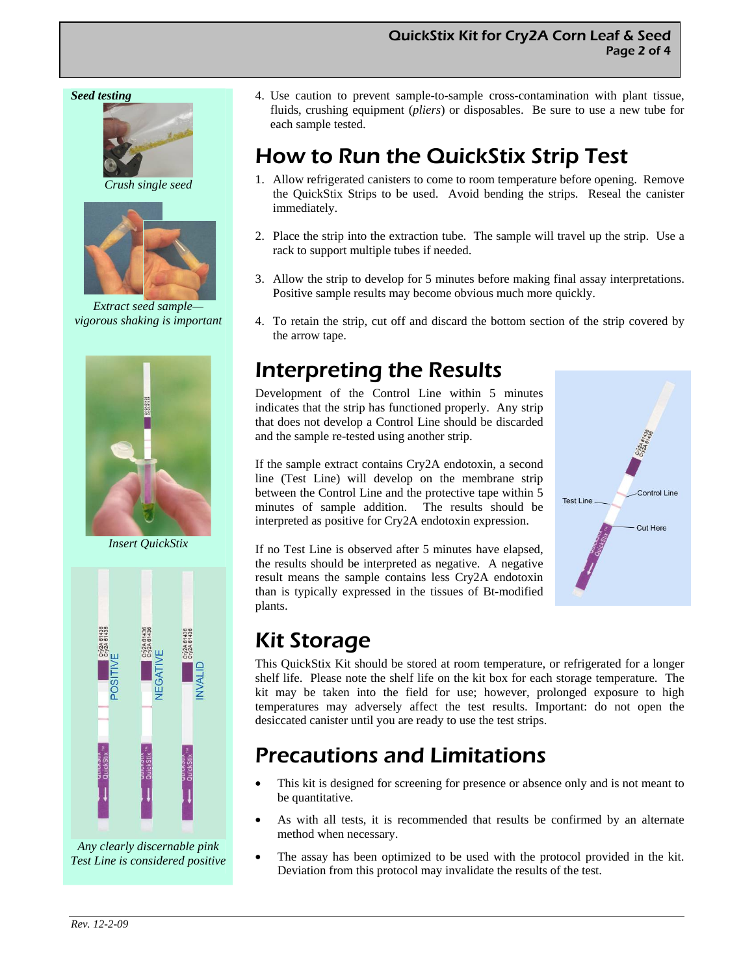#### *Seed testing*



*Crush single seed* 



*Extract seed sample vigorous shaking is important* 



*Insert QuickStix* 



*Any clearly discernable pink Test Line is considered positive* 

4. Use caution to prevent sample-to-sample cross-contamination with plant tissue, fluids, crushing equipment (*pliers*) or disposables. Be sure to use a new tube for each sample tested.

## How to Run the QuickStix Strip Test

- 1. Allow refrigerated canisters to come to room temperature before opening. Remove the QuickStix Strips to be used. Avoid bending the strips. Reseal the canister immediately.
- 2. Place the strip into the extraction tube. The sample will travel up the strip. Use a rack to support multiple tubes if needed.
- 3. Allow the strip to develop for 5 minutes before making final assay interpretations. Positive sample results may become obvious much more quickly.
- 4. To retain the strip, cut off and discard the bottom section of the strip covered by the arrow tape.

## Interpreting the Results

Development of the Control Line within 5 minutes indicates that the strip has functioned properly. Any strip that does not develop a Control Line should be discarded and the sample re-tested using another strip.

If the sample extract contains Cry2A endotoxin, a second line (Test Line) will develop on the membrane strip between the Control Line and the protective tape within 5 minutes of sample addition. The results should be interpreted as positive for Cry2A endotoxin expression.

If no Test Line is observed after 5 minutes have elapsed, the results should be interpreted as negative. A negative result means the sample contains less Cry2A endotoxin than is typically expressed in the tissues of Bt-modified plants.



## Kit Storage

This QuickStix Kit should be stored at room temperature, or refrigerated for a longer shelf life. Please note the shelf life on the kit box for each storage temperature. The kit may be taken into the field for use; however, prolonged exposure to high temperatures may adversely affect the test results. Important: do not open the desiccated canister until you are ready to use the test strips.

## Precautions and Limitations

- This kit is designed for screening for presence or absence only and is not meant to be quantitative.
- As with all tests, it is recommended that results be confirmed by an alternate method when necessary.
- The assay has been optimized to be used with the protocol provided in the kit. Deviation from this protocol may invalidate the results of the test.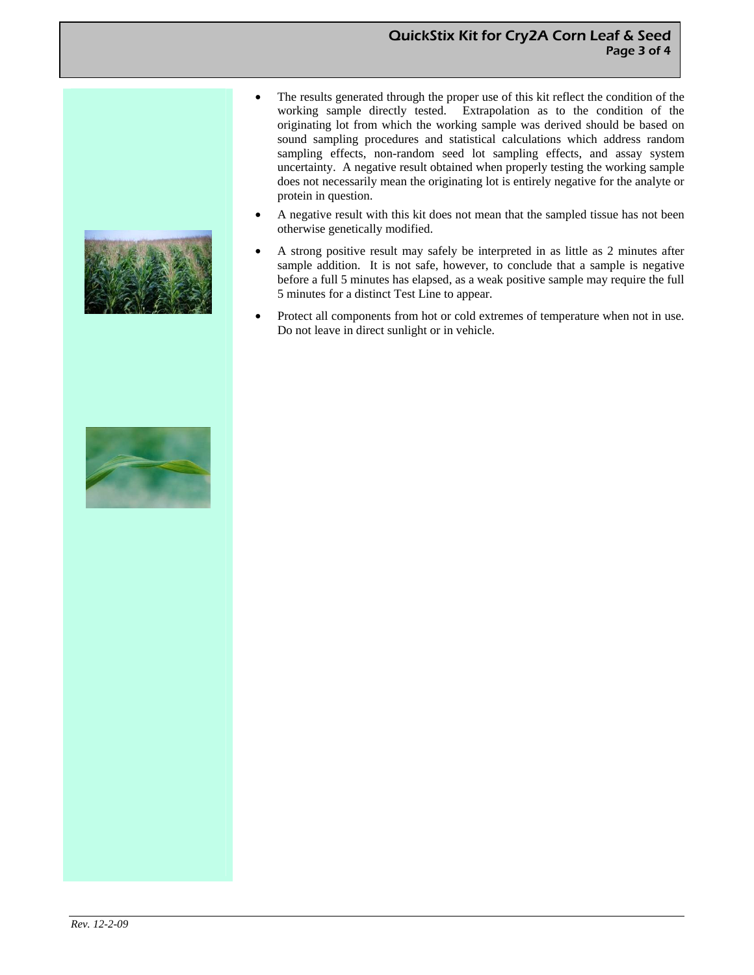#### QuickStix Kit for Cry2A Corn Leaf & Seed Page 3 of 4

- The results generated through the proper use of this kit reflect the condition of the working sample directly tested. Extrapolation as to the condition of the originating lot from which the working sample was derived should be based on sound sampling procedures and statistical calculations which address random sampling effects, non-random seed lot sampling effects, and assay system uncertainty. A negative result obtained when properly testing the working sample does not necessarily mean the originating lot is entirely negative for the analyte or protein in question.
- A negative result with this kit does not mean that the sampled tissue has not been otherwise genetically modified.
- A strong positive result may safely be interpreted in as little as 2 minutes after sample addition. It is not safe, however, to conclude that a sample is negative before a full 5 minutes has elapsed, as a weak positive sample may require the full 5 minutes for a distinct Test Line to appear.
- Protect all components from hot or cold extremes of temperature when not in use. Do not leave in direct sunlight or in vehicle.